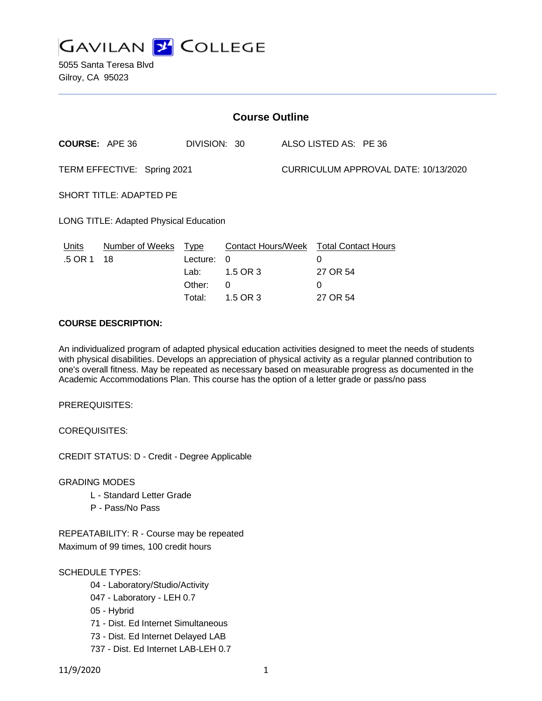

5055 Santa Teresa Blvd Gilroy, CA 95023

| ALSO LISTED AS: PE 36<br><b>COURSE: APE 36</b><br>DIVISION: 30<br>CURRICULUM APPROVAL DATE: 10/13/2020<br>TERM EFFECTIVE: Spring 2021<br><b>SHORT TITLE: ADAPTED PE</b>                    |  |
|--------------------------------------------------------------------------------------------------------------------------------------------------------------------------------------------|--|
|                                                                                                                                                                                            |  |
|                                                                                                                                                                                            |  |
|                                                                                                                                                                                            |  |
| LONG TITLE: Adapted Physical Education                                                                                                                                                     |  |
| Number of Weeks Type<br><b>Contact Hours/Week</b><br><b>Total Contact Hours</b><br>Units<br>.5 OR 1<br>Lecture:<br>18<br>0<br>$\Omega$<br>27 OR 54<br>1.5 OR 3<br>Lab:<br>Other:<br>0<br>0 |  |

### **COURSE DESCRIPTION:**

An individualized program of adapted physical education activities designed to meet the needs of students with physical disabilities. Develops an appreciation of physical activity as a regular planned contribution to one's overall fitness. May be repeated as necessary based on measurable progress as documented in the Academic Accommodations Plan. This course has the option of a letter grade or pass/no pass

Total: 1.5 OR 3 27 OR 54

PREREQUISITES:

COREQUISITES:

CREDIT STATUS: D - Credit - Degree Applicable

GRADING MODES

- L Standard Letter Grade
- P Pass/No Pass

REPEATABILITY: R - Course may be repeated Maximum of 99 times, 100 credit hours

## SCHEDULE TYPES:

- 04 Laboratory/Studio/Activity
- 047 Laboratory LEH 0.7
- 05 Hybrid
- 71 Dist. Ed Internet Simultaneous
- 73 Dist. Ed Internet Delayed LAB
- 737 Dist. Ed Internet LAB-LEH 0.7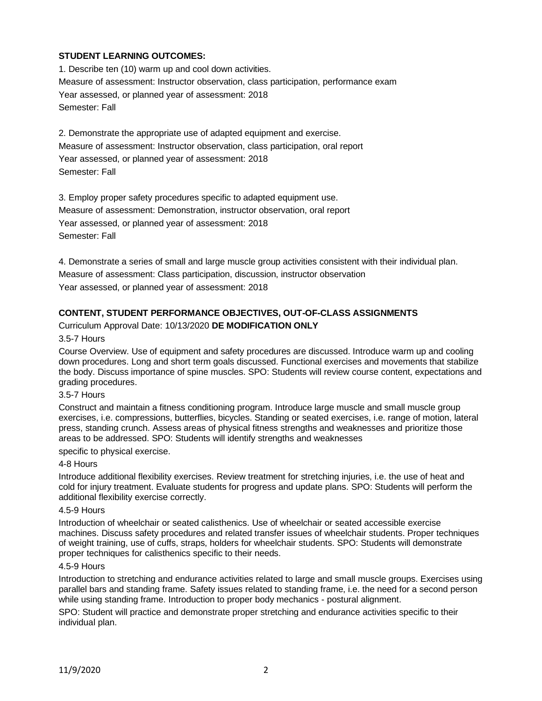# **STUDENT LEARNING OUTCOMES:**

1. Describe ten (10) warm up and cool down activities. Measure of assessment: Instructor observation, class participation, performance exam Year assessed, or planned year of assessment: 2018 Semester: Fall

2. Demonstrate the appropriate use of adapted equipment and exercise. Measure of assessment: Instructor observation, class participation, oral report Year assessed, or planned year of assessment: 2018 Semester: Fall

3. Employ proper safety procedures specific to adapted equipment use. Measure of assessment: Demonstration, instructor observation, oral report Year assessed, or planned year of assessment: 2018 Semester: Fall

4. Demonstrate a series of small and large muscle group activities consistent with their individual plan. Measure of assessment: Class participation, discussion, instructor observation Year assessed, or planned year of assessment: 2018

## **CONTENT, STUDENT PERFORMANCE OBJECTIVES, OUT-OF-CLASS ASSIGNMENTS**

Curriculum Approval Date: 10/13/2020 **DE MODIFICATION ONLY**

#### 3.5-7 Hours

Course Overview. Use of equipment and safety procedures are discussed. Introduce warm up and cooling down procedures. Long and short term goals discussed. Functional exercises and movements that stabilize the body. Discuss importance of spine muscles. SPO: Students will review course content, expectations and grading procedures.

### 3.5-7 Hours

Construct and maintain a fitness conditioning program. Introduce large muscle and small muscle group exercises, i.e. compressions, butterflies, bicycles. Standing or seated exercises, i.e. range of motion, lateral press, standing crunch. Assess areas of physical fitness strengths and weaknesses and prioritize those areas to be addressed. SPO: Students will identify strengths and weaknesses

specific to physical exercise.

#### 4-8 Hours

Introduce additional flexibility exercises. Review treatment for stretching injuries, i.e. the use of heat and cold for injury treatment. Evaluate students for progress and update plans. SPO: Students will perform the additional flexibility exercise correctly.

#### 4.5-9 Hours

Introduction of wheelchair or seated calisthenics. Use of wheelchair or seated accessible exercise machines. Discuss safety procedures and related transfer issues of wheelchair students. Proper techniques of weight training, use of cuffs, straps, holders for wheelchair students. SPO: Students will demonstrate proper techniques for calisthenics specific to their needs.

#### 4.5-9 Hours

Introduction to stretching and endurance activities related to large and small muscle groups. Exercises using parallel bars and standing frame. Safety issues related to standing frame, i.e. the need for a second person while using standing frame. Introduction to proper body mechanics - postural alignment.

SPO: Student will practice and demonstrate proper stretching and endurance activities specific to their individual plan.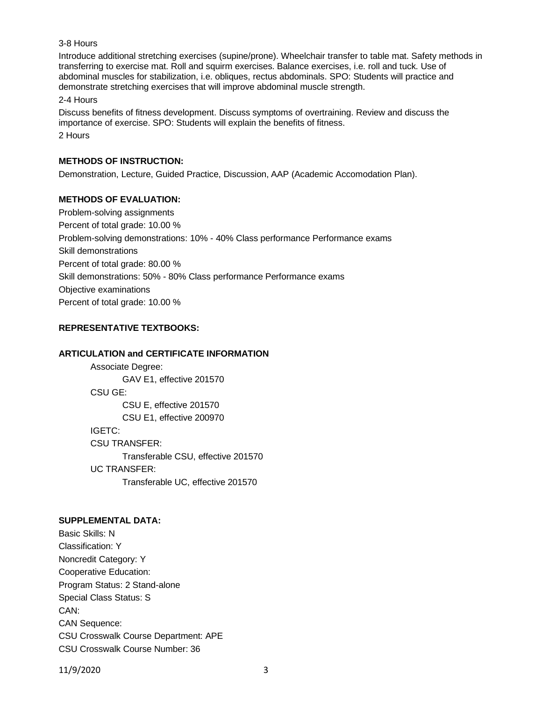## 3-8 Hours

Introduce additional stretching exercises (supine/prone). Wheelchair transfer to table mat. Safety methods in transferring to exercise mat. Roll and squirm exercises. Balance exercises, i.e. roll and tuck. Use of abdominal muscles for stabilization, i.e. obliques, rectus abdominals. SPO: Students will practice and demonstrate stretching exercises that will improve abdominal muscle strength.

2-4 Hours

Discuss benefits of fitness development. Discuss symptoms of overtraining. Review and discuss the importance of exercise. SPO: Students will explain the benefits of fitness. 2 Hours

### **METHODS OF INSTRUCTION:**

Demonstration, Lecture, Guided Practice, Discussion, AAP (Academic Accomodation Plan).

### **METHODS OF EVALUATION:**

Problem-solving assignments Percent of total grade: 10.00 % Problem-solving demonstrations: 10% - 40% Class performance Performance exams Skill demonstrations Percent of total grade: 80.00 % Skill demonstrations: 50% - 80% Class performance Performance exams Objective examinations Percent of total grade: 10.00 %

# **REPRESENTATIVE TEXTBOOKS:**

### **ARTICULATION and CERTIFICATE INFORMATION**

Associate Degree: GAV E1, effective 201570 CSU GE: CSU E, effective 201570 CSU E1, effective 200970 IGETC: CSU TRANSFER: Transferable CSU, effective 201570 UC TRANSFER: Transferable UC, effective 201570

## **SUPPLEMENTAL DATA:**

Basic Skills: N Classification: Y Noncredit Category: Y Cooperative Education: Program Status: 2 Stand-alone Special Class Status: S CAN: CAN Sequence: CSU Crosswalk Course Department: APE CSU Crosswalk Course Number: 36